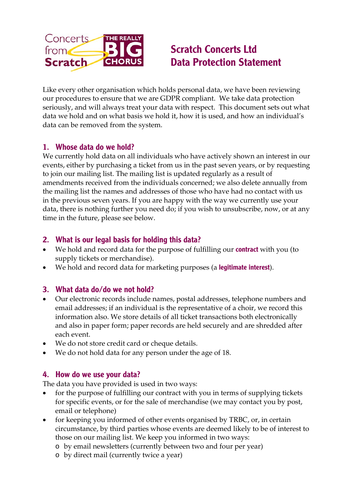

# Scratch Concerts Ltd Data Protection Statement

Like every other organisation which holds personal data, we have been reviewing our procedures to ensure that we are GDPR compliant. We take data protection seriously, and will always treat your data with respect. This document sets out what data we hold and on what basis we hold it, how it is used, and how an individual's data can be removed from the system.

#### 1. Whose data do we hold?

We currently hold data on all individuals who have actively shown an interest in our events, either by purchasing a ticket from us in the past seven years, or by requesting to join our mailing list. The mailing list is updated regularly as a result of amendments received from the individuals concerned; we also delete annually from the mailing list the names and addresses of those who have had no contact with us in the previous seven years. If you are happy with the way we currently use your data, there is nothing further you need do; if you wish to unsubscribe, now, or at any time in the future, please see below.

# 2. What is our legal basis for holding this data?

- We hold and record data for the purpose of fulfilling our **contract** with you (to supply tickets or merchandise).
- We hold and record data for marketing purposes (a **legitimate interest**).

# 3. What data do/do we not hold?

- Our electronic records include names, postal addresses, telephone numbers and email addresses; if an individual is the representative of a choir, we record this information also. We store details of all ticket transactions both electronically and also in paper form; paper records are held securely and are shredded after each event.
- We do not store credit card or cheque details.
- We do not hold data for any person under the age of 18.

# 4. How do we use your data?

The data you have provided is used in two ways:

- for the purpose of fulfilling our contract with you in terms of supplying tickets for specific events, or for the sale of merchandise (we may contact you by post, email or telephone)
- for keeping you informed of other events organised by TRBC, or, in certain circumstance, by third parties whose events are deemed likely to be of interest to those on our mailing list. We keep you informed in two ways:
	- o by email newsletters (currently between two and four per year)
	- o by direct mail (currently twice a year)